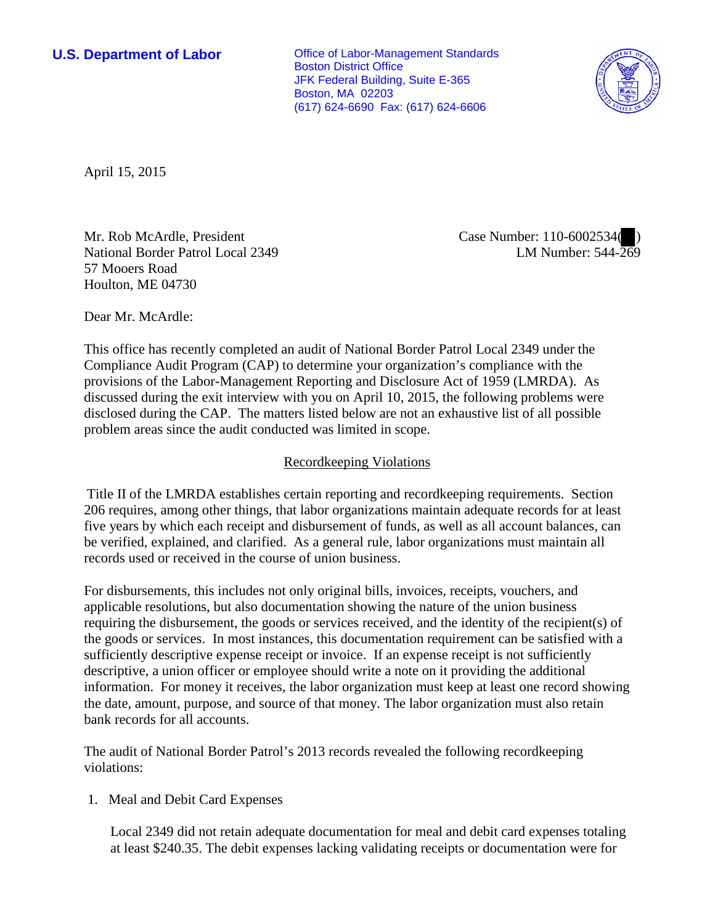**U.S. Department of Labor Conservative Conservative Conservative Conservative Conservative Conservative Conservative Conservative Conservative Conservative Conservative Conservative Conservative Conservative Conservative** Boston District Office JFK Federal Building, Suite E-365 Boston, MA 02203 (617) 624-6690 Fax: (617) 624-6606



April 15, 2015

Mr. Rob McArdle, President National Border Patrol Local 2349 57 Mooers Road Houlton, ME 04730

Case Number: 110-6002534( ) LM Number: 544-269

Dear Mr. McArdle:

This office has recently completed an audit of National Border Patrol Local 2349 under the Compliance Audit Program (CAP) to determine your organization's compliance with the provisions of the Labor-Management Reporting and Disclosure Act of 1959 (LMRDA). As discussed during the exit interview with you on April 10, 2015, the following problems were disclosed during the CAP. The matters listed below are not an exhaustive list of all possible problem areas since the audit conducted was limited in scope.

## Recordkeeping Violations

Title II of the LMRDA establishes certain reporting and recordkeeping requirements. Section 206 requires, among other things, that labor organizations maintain adequate records for at least five years by which each receipt and disbursement of funds, as well as all account balances, can be verified, explained, and clarified. As a general rule, labor organizations must maintain all records used or received in the course of union business.

For disbursements, this includes not only original bills, invoices, receipts, vouchers, and applicable resolutions, but also documentation showing the nature of the union business requiring the disbursement, the goods or services received, and the identity of the recipient(s) of the goods or services. In most instances, this documentation requirement can be satisfied with a sufficiently descriptive expense receipt or invoice. If an expense receipt is not sufficiently descriptive, a union officer or employee should write a note on it providing the additional information. For money it receives, the labor organization must keep at least one record showing the date, amount, purpose, and source of that money. The labor organization must also retain bank records for all accounts.

The audit of National Border Patrol's 2013 records revealed the following recordkeeping violations:

1. Meal and Debit Card Expenses

Local 2349 did not retain adequate documentation for meal and debit card expenses totaling at least \$240.35. The debit expenses lacking validating receipts or documentation were for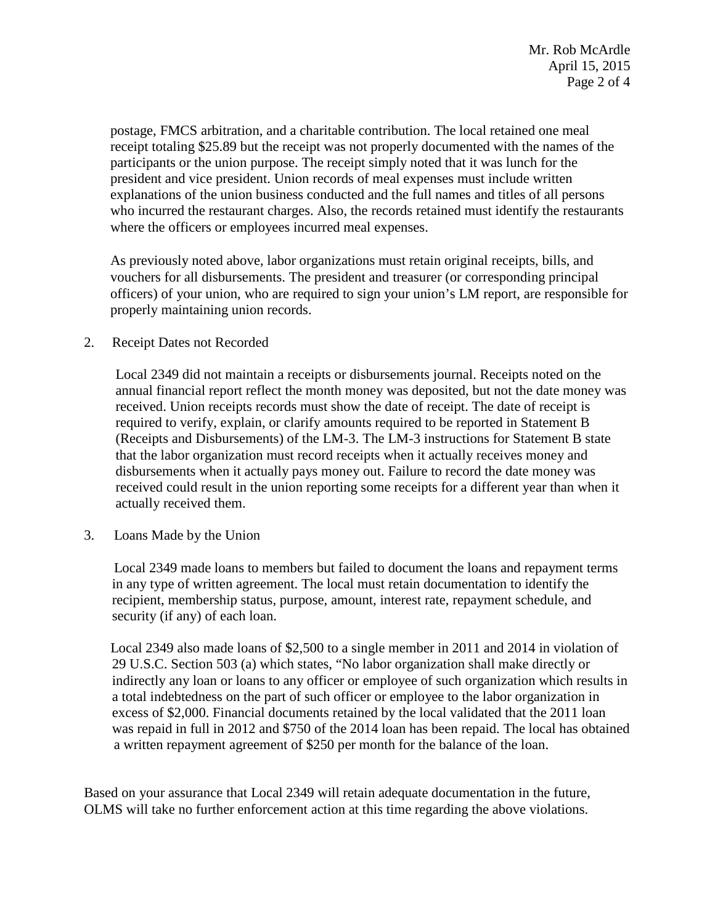postage, FMCS arbitration, and a charitable contribution. The local retained one meal receipt totaling \$25.89 but the receipt was not properly documented with the names of the participants or the union purpose. The receipt simply noted that it was lunch for the president and vice president. Union records of meal expenses must include written explanations of the union business conducted and the full names and titles of all persons who incurred the restaurant charges. Also, the records retained must identify the restaurants where the officers or employees incurred meal expenses.

As previously noted above, labor organizations must retain original receipts, bills, and vouchers for all disbursements. The president and treasurer (or corresponding principal officers) of your union, who are required to sign your union's LM report, are responsible for properly maintaining union records.

2. Receipt Dates not Recorded

 Local 2349 did not maintain a receipts or disbursements journal. Receipts noted on the annual financial report reflect the month money was deposited, but not the date money was received. Union receipts records must show the date of receipt. The date of receipt is required to verify, explain, or clarify amounts required to be reported in Statement B (Receipts and Disbursements) of the LM-3. The LM-3 instructions for Statement B state that the labor organization must record receipts when it actually receives money and disbursements when it actually pays money out. Failure to record the date money was received could result in the union reporting some receipts for a different year than when it actually received them.

3. Loans Made by the Union

 Local 2349 made loans to members but failed to document the loans and repayment terms in any type of written agreement. The local must retain documentation to identify the recipient, membership status, purpose, amount, interest rate, repayment schedule, and security (if any) of each loan.

 Local 2349 also made loans of \$2,500 to a single member in 2011 and 2014 in violation of 29 U.S.C. Section 503 (a) which states, "No labor organization shall make directly or indirectly any loan or loans to any officer or employee of such organization which results in a total indebtedness on the part of such officer or employee to the labor organization in excess of \$2,000. Financial documents retained by the local validated that the 2011 loan was repaid in full in 2012 and \$750 of the 2014 loan has been repaid. The local has obtained a written repayment agreement of \$250 per month for the balance of the loan.

Based on your assurance that Local 2349 will retain adequate documentation in the future, OLMS will take no further enforcement action at this time regarding the above violations.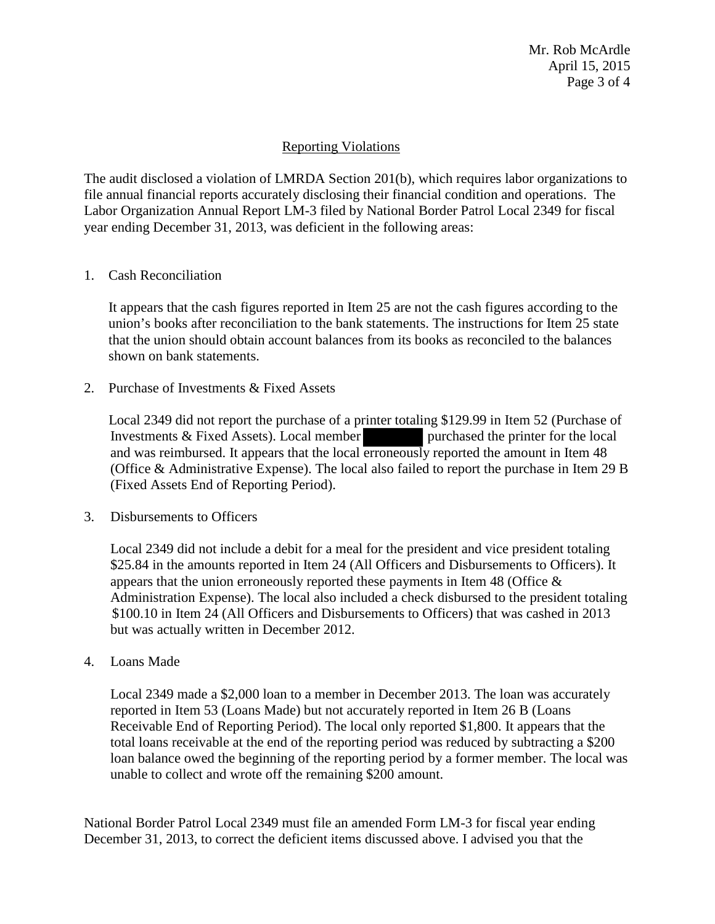Mr. Rob McArdle April 15, 2015 Page 3 of 4

# Reporting Violations

The audit disclosed a violation of LMRDA Section 201(b), which requires labor organizations to file annual financial reports accurately disclosing their financial condition and operations. The Labor Organization Annual Report LM-3 filed by National Border Patrol Local 2349 for fiscal year ending December 31, 2013, was deficient in the following areas:

## 1. Cash Reconciliation

It appears that the cash figures reported in Item 25 are not the cash figures according to the union's books after reconciliation to the bank statements. The instructions for Item 25 state that the union should obtain account balances from its books as reconciled to the balances shown on bank statements.

## 2. Purchase of Investments & Fixed Assets

Local 2349 did not report the purchase of a printer totaling \$129.99 in Item 52 (Purchase of Investments & Fixed Assets). Local member Investments  $&$  Fixed Assets). Local member and was reimbursed. It appears that the local erroneously reported the amount in Item 48 (Office & Administrative Expense). The local also failed to report the purchase in Item 29 B (Fixed Assets End of Reporting Period).

## 3. Disbursements to Officers

 Local 2349 did not include a debit for a meal for the president and vice president totaling \$25.84 in the amounts reported in Item 24 (All Officers and Disbursements to Officers). It appears that the union erroneously reported these payments in Item 48 (Office & Administration Expense). The local also included a check disbursed to the president totaling \$100.10 in Item 24 (All Officers and Disbursements to Officers) that was cashed in 2013 but was actually written in December 2012.

## 4. Loans Made

 Local 2349 made a \$2,000 loan to a member in December 2013. The loan was accurately reported in Item 53 (Loans Made) but not accurately reported in Item 26 B (Loans Receivable End of Reporting Period). The local only reported \$1,800. It appears that the total loans receivable at the end of the reporting period was reduced by subtracting a \$200 loan balance owed the beginning of the reporting period by a former member. The local was unable to collect and wrote off the remaining \$200 amount.

National Border Patrol Local 2349 must file an amended Form LM-3 for fiscal year ending December 31, 2013, to correct the deficient items discussed above. I advised you that the